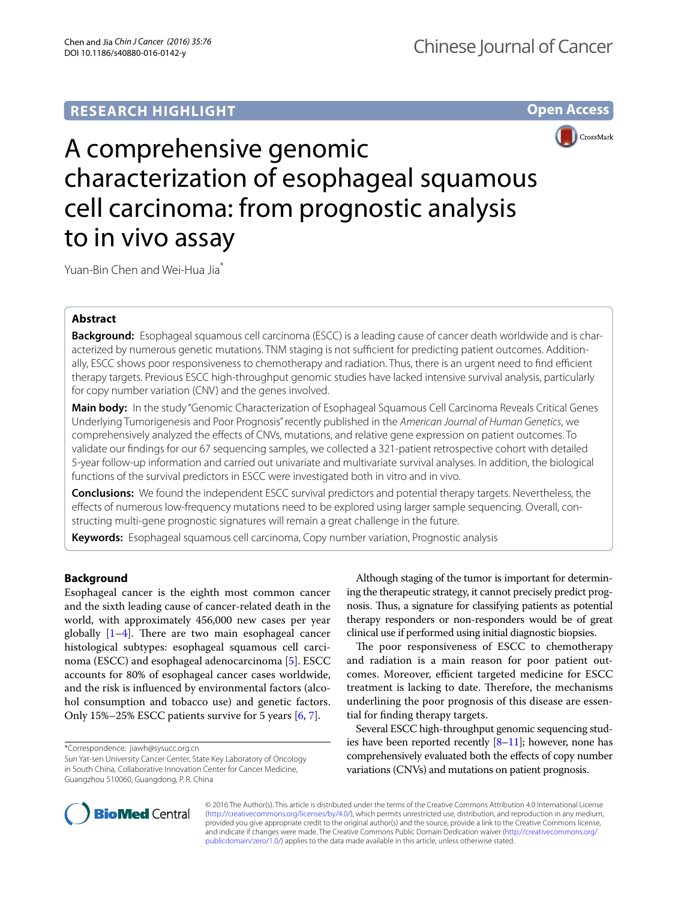## **RESEARCH HIGHLIGHT**

**Open Access**



# A comprehensive genomic characterization of esophageal squamous cell carcinoma: from prognostic analysis to in vivo assay

Yuan-Bin Chen and Wei-Hua Jia<sup>\*</sup>

## **Abstract**

**Background:** Esophageal squamous cell carcinoma (ESCC) is a leading cause of cancer death worldwide and is characterized by numerous genetic mutations. TNM staging is not sufficient for predicting patient outcomes. Additionally, ESCC shows poor responsiveness to chemotherapy and radiation. Thus, there is an urgent need to find efficient therapy targets. Previous ESCC high-throughput genomic studies have lacked intensive survival analysis, particularly for copy number variation (CNV) and the genes involved.

**Main body:** In the study "Genomic Characterization of Esophageal Squamous Cell Carcinoma Reveals Critical Genes Underlying Tumorigenesis and Poor Prognosis" recently published in the *American Journal of Human Genetics*, we comprehensively analyzed the effects of CNVs, mutations, and relative gene expression on patient outcomes. To validate our findings for our 67 sequencing samples, we collected a 321-patient retrospective cohort with detailed 5-year follow-up information and carried out univariate and multivariate survival analyses. In addition, the biological functions of the survival predictors in ESCC were investigated both in vitro and in vivo.

**Conclusions:** We found the independent ESCC survival predictors and potential therapy targets. Nevertheless, the effects of numerous low-frequency mutations need to be explored using larger sample sequencing. Overall, constructing multi-gene prognostic signatures will remain a great challenge in the future.

**Keywords:** Esophageal squamous cell carcinoma, Copy number variation, Prognostic analysis

### **Background**

Esophageal cancer is the eighth most common cancer and the sixth leading cause of cancer-related death in the world, with approximately 456,000 new cases per year globally [\[1](#page-2-0)[–4](#page-2-1)]. There are two main esophageal cancer histological subtypes: esophageal squamous cell carcinoma (ESCC) and esophageal adenocarcinoma [[5\]](#page-2-2). ESCC accounts for 80% of esophageal cancer cases worldwide, and the risk is influenced by environmental factors (alcohol consumption and tobacco use) and genetic factors. Only 15%–25% ESCC patients survive for 5 years [[6,](#page-2-3) [7](#page-2-4)].

\*Correspondence: jiawh@sysucc.org.cn

Sun Yat-sen University Cancer Center, State Key Laboratory of Oncology in South China, Collaborative Innovation Center for Cancer Medicine, Guangzhou 510060, Guangdong, P. R. China

Although staging of the tumor is important for determining the therapeutic strategy, it cannot precisely predict prognosis. Thus, a signature for classifying patients as potential therapy responders or non-responders would be of great clinical use if performed using initial diagnostic biopsies.

The poor responsiveness of ESCC to chemotherapy and radiation is a main reason for poor patient outcomes. Moreover, efficient targeted medicine for ESCC treatment is lacking to date. Therefore, the mechanisms underlining the poor prognosis of this disease are essential for finding therapy targets.

Several ESCC high-throughput genomic sequencing studies have been reported recently  $[8-11]$  $[8-11]$  $[8-11]$ ; however, none has comprehensively evaluated both the effects of copy number variations (CNVs) and mutations on patient prognosis.



© 2016 The Author(s). This article is distributed under the terms of the Creative Commons Attribution 4.0 International License [\(http://creativecommons.org/licenses/by/4.0/\)](http://creativecommons.org/licenses/by/4.0/), which permits unrestricted use, distribution, and reproduction in any medium, provided you give appropriate credit to the original author(s) and the source, provide a link to the Creative Commons license, and indicate if changes were made. The Creative Commons Public Domain Dedication waiver ([http://creativecommons.org/](http://creativecommons.org/publicdomain/zero/1.0/) [publicdomain/zero/1.0/](http://creativecommons.org/publicdomain/zero/1.0/)) applies to the data made available in this article, unless otherwise stated.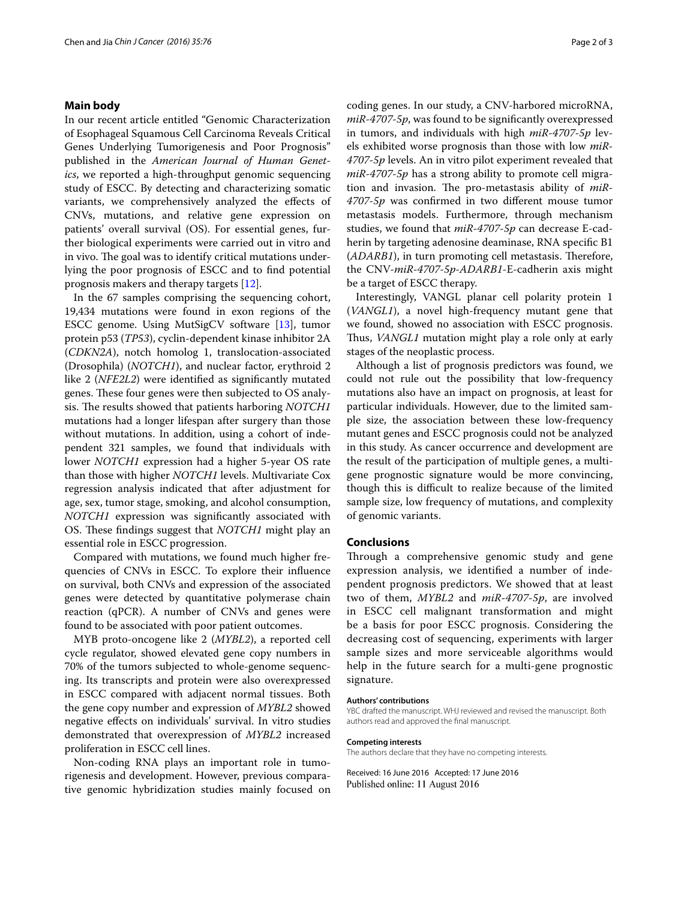#### **Main body**

In our recent article entitled "Genomic Characterization of Esophageal Squamous Cell Carcinoma Reveals Critical Genes Underlying Tumorigenesis and Poor Prognosis" published in the *American Journal of Human Genetics*, we reported a high-throughput genomic sequencing study of ESCC. By detecting and characterizing somatic variants, we comprehensively analyzed the effects of CNVs, mutations, and relative gene expression on patients' overall survival (OS). For essential genes, further biological experiments were carried out in vitro and in vivo. The goal was to identify critical mutations underlying the poor prognosis of ESCC and to find potential prognosis makers and therapy targets [[12\]](#page-2-7).

In the 67 samples comprising the sequencing cohort, 19,434 mutations were found in exon regions of the ESCC genome. Using MutSigCV software [[13\]](#page-2-8), tumor protein p53 (*TP53*), cyclin-dependent kinase inhibitor 2A (*CDKN2A*), notch homolog 1, translocation-associated (Drosophila) (*NOTCH1*), and nuclear factor, erythroid 2 like 2 (*NFE2L2*) were identified as significantly mutated genes. These four genes were then subjected to OS analysis. The results showed that patients harboring *NOTCH1* mutations had a longer lifespan after surgery than those without mutations. In addition, using a cohort of independent 321 samples, we found that individuals with lower *NOTCH1* expression had a higher 5-year OS rate than those with higher *NOTCH1* levels. Multivariate Cox regression analysis indicated that after adjustment for age, sex, tumor stage, smoking, and alcohol consumption, *NOTCH1* expression was significantly associated with OS. These findings suggest that *NOTCH1* might play an essential role in ESCC progression.

Compared with mutations, we found much higher frequencies of CNVs in ESCC. To explore their influence on survival, both CNVs and expression of the associated genes were detected by quantitative polymerase chain reaction (qPCR). A number of CNVs and genes were found to be associated with poor patient outcomes.

MYB proto-oncogene like 2 (*MYBL2*), a reported cell cycle regulator, showed elevated gene copy numbers in 70% of the tumors subjected to whole-genome sequencing. Its transcripts and protein were also overexpressed in ESCC compared with adjacent normal tissues. Both the gene copy number and expression of *MYBL2* showed negative effects on individuals' survival. In vitro studies demonstrated that overexpression of *MYBL2* increased proliferation in ESCC cell lines.

Non-coding RNA plays an important role in tumorigenesis and development. However, previous comparative genomic hybridization studies mainly focused on coding genes. In our study, a CNV-harbored microRNA, *miR*-*4707*-*5p*, was found to be significantly overexpressed in tumors, and individuals with high *miR*-*4707*-*5p* levels exhibited worse prognosis than those with low *miR*-*4707*-*5p* levels. An in vitro pilot experiment revealed that *miR*-*4707*-*5p* has a strong ability to promote cell migration and invasion. The pro-metastasis ability of *miR*-*4707*-*5p* was confirmed in two different mouse tumor metastasis models. Furthermore, through mechanism studies, we found that *miR*-*4707*-*5p* can decrease E-cadherin by targeting adenosine deaminase, RNA specific B1 (*ADARB1*), in turn promoting cell metastasis. Therefore, the CNV-*miR*-*4707*-*5p*-*ADARB1*-E-cadherin axis might be a target of ESCC therapy.

Interestingly, VANGL planar cell polarity protein 1 (*VANGL1*), a novel high-frequency mutant gene that we found, showed no association with ESCC prognosis. Thus, *VANGL1* mutation might play a role only at early stages of the neoplastic process.

Although a list of prognosis predictors was found, we could not rule out the possibility that low-frequency mutations also have an impact on prognosis, at least for particular individuals. However, due to the limited sample size, the association between these low-frequency mutant genes and ESCC prognosis could not be analyzed in this study. As cancer occurrence and development are the result of the participation of multiple genes, a multigene prognostic signature would be more convincing, though this is difficult to realize because of the limited sample size, low frequency of mutations, and complexity of genomic variants.

#### **Conclusions**

Through a comprehensive genomic study and gene expression analysis, we identified a number of independent prognosis predictors. We showed that at least two of them, *MYBL2* and *miR*-*4707*-*5p*, are involved in ESCC cell malignant transformation and might be a basis for poor ESCC prognosis. Considering the decreasing cost of sequencing, experiments with larger sample sizes and more serviceable algorithms would help in the future search for a multi-gene prognostic signature.

#### **Authors' contributions**

YBC drafted the manuscript. WHJ reviewed and revised the manuscript. Both authors read and approved the final manuscript.

#### **Competing interests**

The authors declare that they have no competing interests.

Received: 16 June 2016 Accepted: 17 June 2016Published online: 11 August 2016